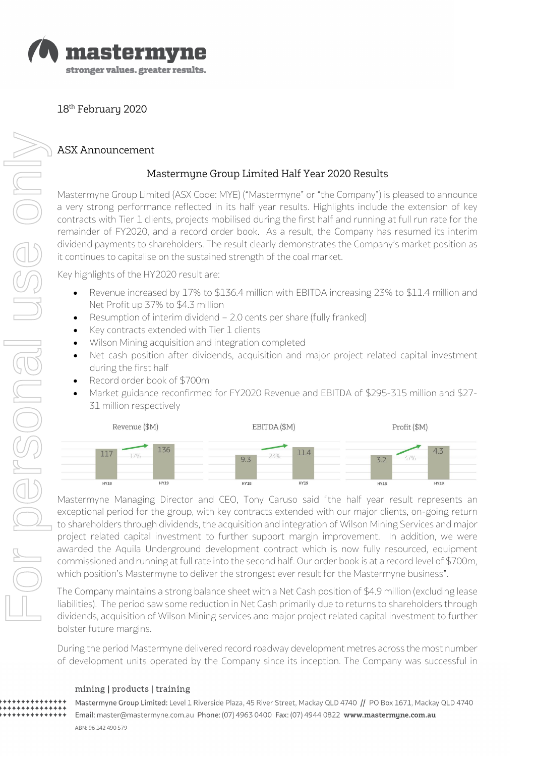

18th February 2020

# ASX Announcement

## Mastermyne Group Limited Half Year 2020 Results

Mastermyne Group Limited (ASX Code: MYE) ("Mastermyne" or "the Company") is pleased to announce a very strong performance reflected in its half year results. Highlights include the extension of key contracts with Tier 1 clients, projects mobilised during the first half and running at full run rate for the remainder of FY2020, and a record order book. As a result, the Company has resumed its interim dividend payments to shareholders. The result clearly demonstrates the Company's market position as it continues to capitalise on the sustained strength of the coal market.

Key highlights of the HY2020 result are:

- Revenue increased by 17% to \$136.4 million with EBITDA increasing 23% to \$11.4 million and Net Profit up 37% to \$4.3 million
- Resumption of interim dividend 2.0 cents per share (fully franked)
- Key contracts extended with Tier 1 clients
- Wilson Mining acquisition and integration completed
- Net cash position after dividends, acquisition and major project related capital investment during the first half
- Record order book of \$700m
- Market guidance reconfirmed for FY2020 Revenue and EBITDA of \$295-315 million and \$27- 31 million respectively



Mastermyne Managing Director and CEO, Tony Caruso said "the half year result represents an exceptional period for the group, with key contracts extended with our major clients, on-going return to shareholders through dividends, the acquisition and integration of Wilson Mining Services and major project related capital investment to further support margin improvement. In addition, we were awarded the Aquila Underground development contract which is now fully resourced, equipment commissioned and running at full rate into the second half. Our order book is at a record level of \$700m, which position's Mastermyne to deliver the strongest ever result for the Mastermyne business".

The Company maintains a strong balance sheet with a Net Cash position of \$4.9 million (excluding lease liabilities). The period saw some reduction in Net Cash primarily due to returns to shareholders through dividends, acquisition of Wilson Mining services and major project related capital investment to further bolster future margins.

During the period Mastermyne delivered record roadway development metres across the most number of development units operated by the Company since its inception. The Company was successful in

## mining | products | training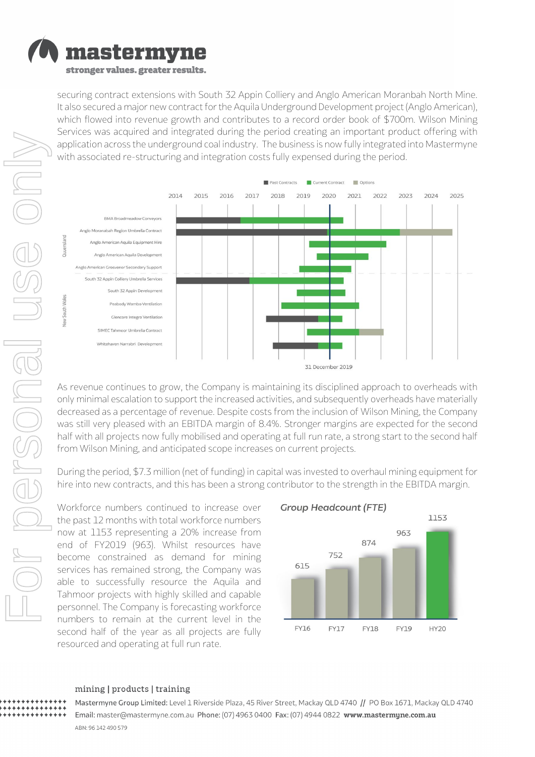

securing contract extensions with South 32 Appin Colliery and Anglo American Moranbah North Mine. It also secured a major new contract for the Aquila Underground Development project (Anglo American), which flowed into revenue growth and contributes to a record order book of \$700m. Wilson Mining Services was acquired and integrated during the period creating an important product offering with application across the underground coal industry. The business is now fully integrated into Mastermyne with associated re-structuring and integration costs fully expensed during the period.



As revenue continues to grow, the Company is maintaining its disciplined approach to overheads with only minimal escalation to support the increased activities, and subsequently overheads have materially decreased as a percentage of revenue. Despite costs from the inclusion of Wilson Mining, the Company was still very pleased with an EBITDA margin of 8.4%. Stronger margins are expected for the second half with all projects now fully mobilised and operating at full run rate, a strong start to the second half from Wilson Mining, and anticipated scope increases on current projects.

During the period, \$7.3 million (net of funding) in capital was invested to overhaul mining equipment for hire into new contracts, and this has been a strong contributor to the strength in the EBITDA margin.

Workforce numbers continued to increase over the past 12 months with total workforce numbers now at 1153 representing a 20% increase from end of FY2019 (963). Whilst resources have become constrained as demand for mining services has remained strong, the Company was able to successfully resource the Aquila and Tahmoor projects with highly skilled and capable personnel. The Company is forecasting workforce numbers to remain at the current level in the second half of the year as all projects are fully resourced and operating at full run rate.





#### mining | products | training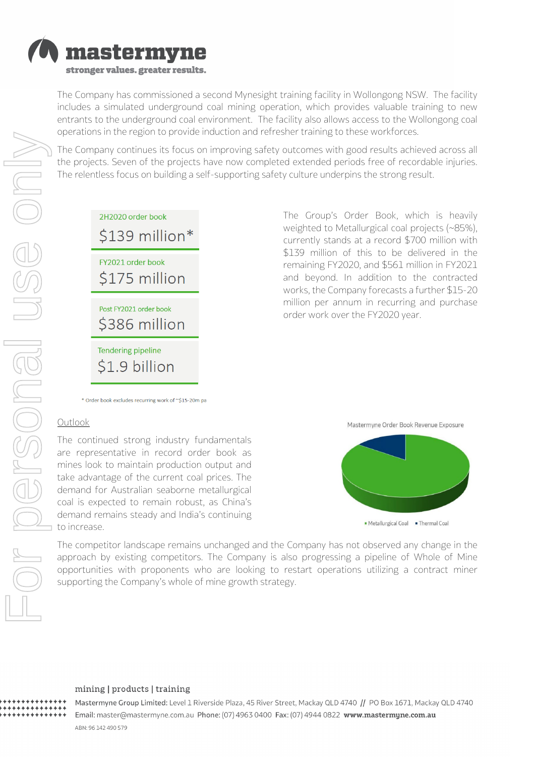

The Company has commissioned a second Mynesight training facility in Wollongong NSW. The facility includes a simulated underground coal mining operation, which provides valuable training to new entrants to the underground coal environment. The facility also allows access to the Wollongong coal operations in the region to provide induction and refresher training to these workforces.

The Company continues its focus on improving safety outcomes with good results achieved across all the projects. Seven of the projects have now completed extended periods free of recordable injuries. The relentless focus on building a self-supporting safety culture underpins the strong result.

| 2H2020 order book<br>\$139 million*       |
|-------------------------------------------|
| FY2021 order book<br>\$175 million        |
| Post FY2021 order book<br>\$386 million   |
| <b>Tendering pipeline</b><br>S1.9 billion |

The Group's Order Book, which is heavily weighted to Metallurgical coal projects (~85%), currently stands at a record \$700 million with \$139 million of this to be delivered in the remaining FY2020, and \$561 million in FY2021 and beyond. In addition to the contracted works, the Company forecasts a further \$15-20 million per annum in recurring and purchase order work over the FY2020 year.

\* Order book excludes recurring work of ~\$15-20m pa

### **Outlook**

The continued strong industry fundamentals are representative in record order book as mines look to maintain production output and take advantage of the current coal prices. The demand for Australian seaborne metallurgical coal is expected to remain robust, as China's demand remains steady and India's continuing to increase.

Mastermyne Order Book Revenue Exposure



The competitor landscape remains unchanged and the Company has not observed any change in the approach by existing competitors. The Company is also progressing a pipeline of Whole of Mine opportunities with proponents who are looking to restart operations utilizing a contract miner supporting the Company's whole of mine growth strategy.

#### mining | products | training